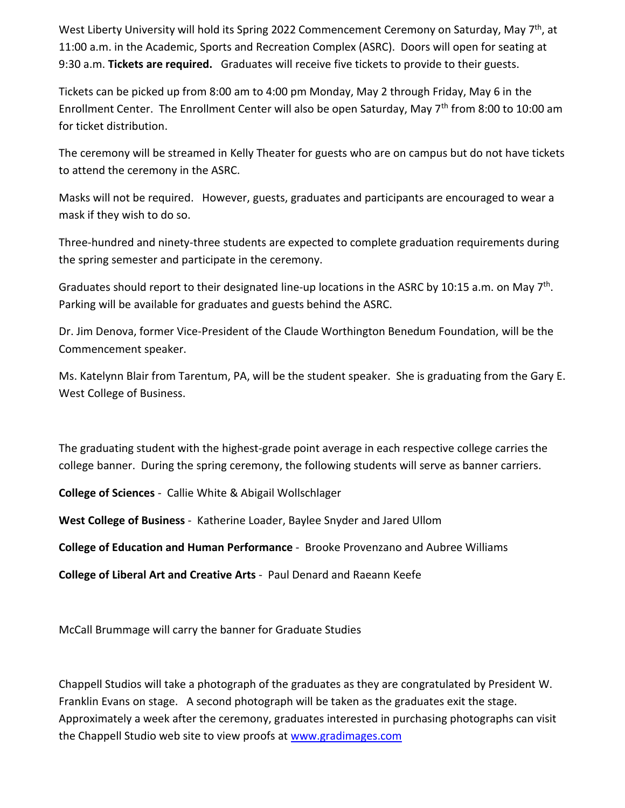West Liberty University will hold its Spring 2022 Commencement Ceremony on Saturday, May 7<sup>th</sup>, at 11:00 a.m. in the Academic, Sports and Recreation Complex (ASRC). Doors will open for seating at 9:30 a.m. **Tickets are required.** Graduates will receive five tickets to provide to their guests.

Tickets can be picked up from 8:00 am to 4:00 pm Monday, May 2 through Friday, May 6 in the Enrollment Center. The Enrollment Center will also be open Saturday, May  $7<sup>th</sup>$  from 8:00 to 10:00 am for ticket distribution.

The ceremony will be streamed in Kelly Theater for guests who are on campus but do not have tickets to attend the ceremony in the ASRC.

Masks will not be required. However, guests, graduates and participants are encouraged to wear a mask if they wish to do so.

Three-hundred and ninety-three students are expected to complete graduation requirements during the spring semester and participate in the ceremony.

Graduates should report to their designated line-up locations in the ASRC by 10:15 a.m. on May 7<sup>th</sup>. Parking will be available for graduates and guests behind the ASRC.

Dr. Jim Denova, former Vice-President of the Claude Worthington Benedum Foundation, will be the Commencement speaker.

Ms. Katelynn Blair from Tarentum, PA, will be the student speaker. She is graduating from the Gary E. West College of Business.

The graduating student with the highest-grade point average in each respective college carries the college banner. During the spring ceremony, the following students will serve as banner carriers.

**College of Sciences** - Callie White & Abigail Wollschlager

**West College of Business** - Katherine Loader, Baylee Snyder and Jared Ullom

**College of Education and Human Performance** - Brooke Provenzano and Aubree Williams

**College of Liberal Art and Creative Arts** - Paul Denard and Raeann Keefe

McCall Brummage will carry the banner for Graduate Studies

Chappell Studios will take a photograph of the graduates as they are congratulated by President W. Franklin Evans on stage. A second photograph will be taken as the graduates exit the stage. Approximately a week after the ceremony, graduates interested in purchasing photographs can visit the Chappell Studio web site to view proofs a[t www.gradimages.com](http://www.gradimages.com/)